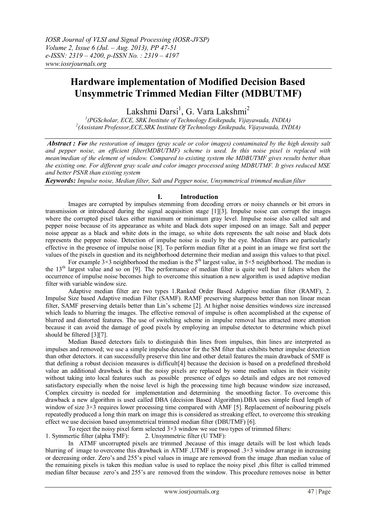# **Hardware implementation of Modified Decision Based Unsymmetric Trimmed Median Filter (MDBUTMF)**

Lakshmi Darsi<sup>1</sup>, G. Vara Lakshmi<sup>2</sup>

*1 (PGScholar, ECE, SRK Institute of Technology Enikepadu, Vijayawada, INDIA) 2 (Assistant Professor,ECE,SRK Institute Of Technology Enikepadu, Vijayawada, INDIA)*

*Abstract : For the restoration of images (gray scale or color images) contaminated by the high density salt and pepper noise, an efficient filter(MDBUTMF) scheme is used. In this noise pixel is replaced with mean/median of the element of window. Compared to existing system the MDBUTMF gives results better than the existing one. For different gray scale and color images processed using MDBUTMF. It gives reduced MSE and better PSNR than existing system*

*Keywords: Impulse noise, Median filter, Salt and Pepper noise, Unsymmetrical trimmed median filter*

# **I. Introduction**

Images are corrupted by impulses stemming from decoding errors or noisy channels or bit errors in transmission or introduced during the signal acquisition stage [1][3]. Impulse noise can corrupt the images where the corrupted pixel takes either maximum or minimum gray level. Impulse noise also called salt and pepper noise because of its appearance as white and black dots super imposed on an image. Salt and pepper noise appear as a black and white dots in the image, so white dots represents the salt noise and black dots represents the pepper noise. Detection of impulse noise is easily by the eye. Median filters are particularly effective in the presence of impulse noise [8]. To perform median filter at a point in an image we first sort the values of the pixels in question and its neighborhood determine their median and assign this values to that pixel.

For example  $3\times 3$  neighborhood the median is the  $5<sup>th</sup>$  largest value, in  $5\times 5$  neighborhood. The median is the 13<sup>th</sup> largest value and so on [9]. The performance of median filter is quite well but it falters when the occurrence of impulse noise becomes high to overcome this situation a new algorithm is used adaptive median filter with variable window size.

Adaptive median filter are two types 1.Ranked Order Based Adaptive median filter (RAMF), 2. Impulse Size based Adaptive median Filter (SAMF). RAMF preserving sharpness better than non linear mean filter, SAMF preserving details better than Lin's scheme [2]. At higher noise densities windows size increased which leads to blurring the images. The effective removal of impulse is often accomplished at the expense of blurred and distorted features. The use of switching scheme in impulse removal has attracted more attention because it can avoid the damage of good pixels by employing an impulse detector to determine which pixel should be filtered [3][7].

Median Based detectors fails to distinguish thin lines from impulses, thin lines are interpreted as impulses and removed; we use a simple impulse detector for the SM filter that exhibits better impulse detection than other detectors. it can successfully preserve thin line and other detail features the main drawback of SMF is that defining a robust decision measures is difficult[4] because the decision is based on a predefined threshold value an additional drawback is that the noisy pixels are replaced by some median values in their vicinity without taking into local features such as possible presence of edges so details and edges are not removed satisfactory especially when the noise level is high the processing time high because window size increased, Complex circuitry is needed for implementation and determining the smoothing factor. To overcome this drawback a new algorithm is used called DBA (decision Based Algorithm).DBA uses simple fixed length of window of size  $3\times3$  requires lower processing time compared with AMF [5]. Replacement of neibouring pixels repeatedly produced a long thin mark on image this is considered as streaking effect, to overcome this streaking effect we use decision based unsymmetrical trimmed median filter (DBUTMF) [6].

To reject the noisy pixel form selected  $3\times3$  window we sue two types of trimmed filters:

1. Symmertic filter (alpha TMF): 2. Unsymmetric filter (U TMF):

In ATMF uncorrupted pixels are trimmed ,because of this image details will be lost which leads blurring of image to overcome this drawback in ATMF ,UTMF is proposed .3×3 window arrange in increasing or decreasing order. Zero's and 255's pixel values in image are removed from the image ,than median value of the remaining pixels is taken this median value is used to replace the noisy pixel ,this filter is called trimmed median filter because zero's and 255's are removed from the window. This procedure removes noise in better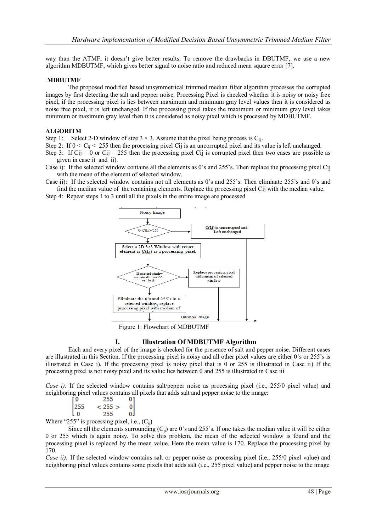way than the ATMF, it doesn't give better results. To remove the drawbacks in DBUTMF, we use a new algorithm MDBUTMF, which gives better signal to noise ratio and reduced mean square error [7].

#### **MDBUTMF**

The proposed modified based unsymmetrical trimmed median filter algorithm processes the corrupted images by first detecting the salt and pepper noise. Processing Pixel is checked whether it is noisy or noisy free pixel, if the processing pixel is lies between maximum and minimum gray level values then it is considered as noise free pixel, it is left unchanged. If the processing pixel takes the maximum or minimum gray level takes minimum or maximum gray level then it is considered as noisy pixel which is processed by MDBUTMF.

## **ALGORITM**

Step 1: Select 2-D window of size  $3 \times 3$ . Assume that the pixel being process is  $C_{ii}$ .

Step 2: If  $0 < C_{ii} < 255$  then the processing pixel Cij is an uncorrupted pixel and its value is left unchanged.

Step 3: If Cij = 0 or Cij = 255 then the processing pixel Cij is corrupted pixel then two cases are possible as given in case i) and ii).

Case i): If the selected window contains all the elements as 0's and 255's. Then replace the processing pixel Cij with the mean of the element of selected window.

Case ii): If the selected window contains not all elements as 0's and 255's. Then eliminate 255's and 0's and find the median value of the remaining elements. Replace the processing pixel Cij with the median value.

Step 4: Repeat steps 1 to 3 until all the pixels in the entire image are processed



Figure 1: Flowchart of MDBUTMF

## **I. Illustration Of MDBUTMF Algorithm**

Each and every pixel of the image is checked for the presence of salt and pepper noise. Different cases are illustrated in this Section. If the processing pixel is noisy and all other pixel values are either 0's or 255's is illustrated in Case i). If the processing pixel is noisy pixel that is 0 or 255 is illustrated in Case ii) If the processing pixel is not noisy pixel and its value lies between 0 and 255 is illustrated in Case iii

*Case i):* If the selected window contains salt/pepper noise as processing pixel (i.e., 255/0 pixel value) and neighboring pixel values contains all pixels that adds salt and pepper noise to the image:

| ſ0  | 255         | 01 |
|-----|-------------|----|
| 255 | $< 255$ $>$ | ٥I |
| Lο  | 255         | ۵I |

Where "255" is processing pixel, i.e.,  $(C_{ii})$ 

Since all the elements surrounding  $(C_{ii})$  are 0's and 255's. If one takes the median value it will be either 0 or 255 which is again noisy. To solve this problem, the mean of the selected window is found and the processing pixel is replaced by the mean value. Here the mean value is 170. Replace the processing pixel by 170.

*Case ii):* If the selected window contains salt or pepper noise as processing pixel (i.e., 255/0 pixel value) and neighboring pixel values contains some pixels that adds salt (i.e., 255 pixel value) and pepper noise to the image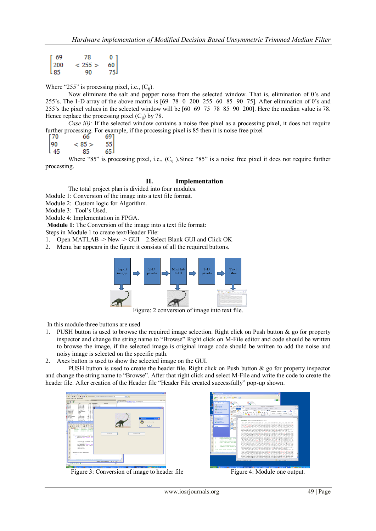| 69                     | 78        | 01                                       |
|------------------------|-----------|------------------------------------------|
| 200                    | $< 255$ > | $\begin{bmatrix} 60 \\ 75 \end{bmatrix}$ |
| $\overline{\text{25}}$ | 90        |                                          |

Where "255" is processing pixel, i.e.,  $(C_{ii})$ .

Now eliminate the salt and pepper noise from the selected window. That is, elimination of 0's and 255's. The 1-D array of the above matrix is [69 78 0 200 255 60 85 90 75]. After elimination of 0's and 255's the pixel values in the selected window will be [60 69 75 78 85 90 200]. Here the median value is 78. Hence replace the processing pixel  $(C_{ii})$  by 78.

*Case iii):* If the selected window contains a noise free pixel as a processing pixel, it does not require further processing. For example, if the processing pixel is 85 then it is noise free pixel

| [70                                                        | 66         | 691             |  |
|------------------------------------------------------------|------------|-----------------|--|
| $\left[\begin{smallmatrix} 90\\45\end{smallmatrix}\right]$ | $< 85$ $>$ | $\frac{55}{65}$ |  |
|                                                            | 85         |                 |  |
|                                                            |            |                 |  |

Where "85" is processing pixel, i.e.,  $(C_{ii})$ . Since "85" is a noise free pixel it does not require further processing.

# **II. Implementation**

The total project plan is divided into four modules.

Module 1: Conversion of the image into a text file format.

Module 2: Custom logic for Algorithm.

Module 3: Tool's Used.

Module 4: Implementation in FPGA.

**Module 1**: The Conversion of the image into a text file format:

Steps in Module 1 to create text/Header File:

- 1. Open MATLAB -> New -> GUI 2.Select Blank GUI and Click OK
- 2. Menu bar appears in the figure it consists of all the required buttons.



Figure: 2 conversion of image into text file.

In this module three buttons are used

- 1. PUSH button is used to browse the required image selection. Right click on Push button  $\&$  go for property inspector and change the string name to "Browse" Right click on M-File editor and code should be written to browse the image, if the selected image is original image code should be written to add the noise and noisy image is selected on the specific path.
- 2. Axes button is used to show the selected image on the GUI.

PUSH button is used to create the header file. Right click on Push button & go for property inspector and change the string name to "Browse". After that right click and select M-File and write the code to create the header file. After creation of the Header file "Header File created successfully" pop-up shown.





Figure 3: Conversion of image to header file Figure 4: Module one output.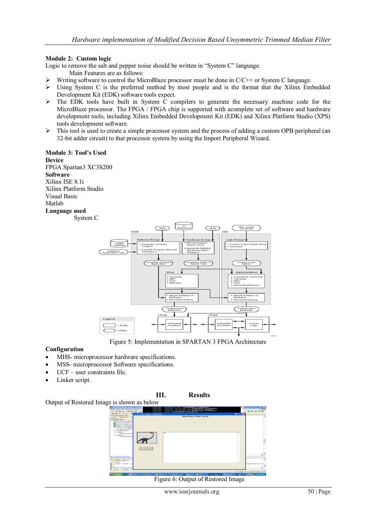## **Module 2: Custom logic**

Logic to remove the salt and pepper noise should be written in "System C" language.

- Main Features are as follows:
- $\triangleright$  Writing software to control the MicroBlaze processor must be done in C/C++ or System C language.
- $\triangleright$  Using System C is the preferred method by most people and is the format that the Xilinx Embedded Development Kit (EDK) software tools expect.
- $\triangleright$  The EDK tools have built in System C compilers to generate the necessary machine code for the MicroBlaze processor. The FPGA / FPGA chip is supported with acomplete set of software and hardware development tools, including Xilinx Embedded Development Kit (EDK) and Xilinx Platform Studio (XPS) tools development software.
- $\triangleright$  This tool is used to create a simple processor system and the process of adding a custom OPB peripheral (an 32-bit adder circuit) to that processor system by using the Import Peripheral Wizard.

#### **Module 3: Tool's Used Device**  FPGA Spartan3 XC3S200 **Software** Xilinx ISE 8.1i Xilinx Platform Studio Visual Basic Matlab **Language used** System C



Figure 5: Implementation in SPARTAN 3 FPGA Architecture

## **Configuration**

- MHS- microprocessor hardware specifications.
- MSS- microprocessor Software specifications.
- UCF user constraints file.
- Linker script.

# **III. Results** Output of Restored Image is shown as below **COLAREA**

Figure 6: Output of Restored Image